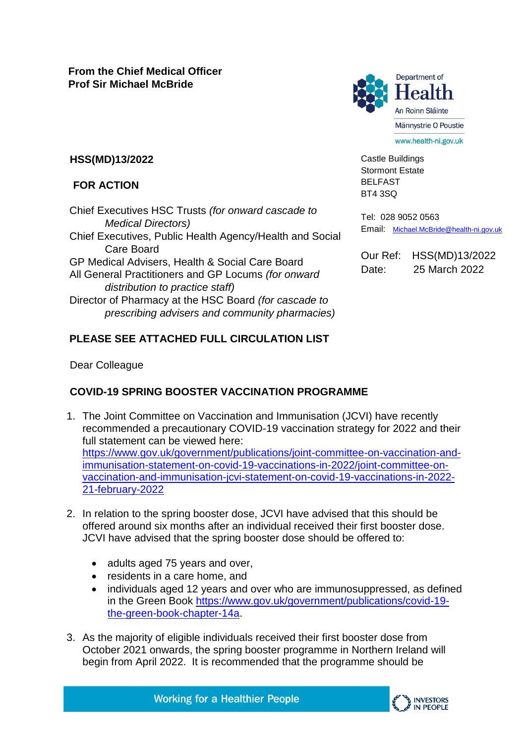

Castle Buildings Stormont Estate BELFAST BT4 3SQ

## **HSS(MD)13/2022**

## **FOR ACTION**

Chief Executives HSC Trusts *(for onward cascade to Medical Directors)* Chief Executives, Public Health Agency/Health and Social Care Board GP Medical Advisers, Health & Social Care Board All General Practitioners and GP Locums *(for onward distribution to practice staff)*  Director of Pharmacy at the HSC Board *(for cascade to prescribing advisers and community pharmacies)*

Tel: 028 9052 0563 Email: [Michael.McBride@health-ni.gov.uk](mailto:Michael.McBride@health-ni.gov.uk)

Our Ref: HSS(MD)13/2022 Date: 25 March 2022

### **PLEASE SEE ATTACHED FULL CIRCULATION LIST**

Dear Colleague

# **COVID-19 SPRING BOOSTER VACCINATION PROGRAMME**

- 1. The Joint Committee on Vaccination and Immunisation (JCVI) have recently recommended a precautionary COVID-19 vaccination strategy for 2022 and their full statement can be viewed here: [https://www.gov.uk/government/publications/joint-committee-on-vaccination-and](https://www.gov.uk/government/publications/joint-committee-on-vaccination-and-immunisation-statement-on-covid-19-vaccinations-in-2022/joint-committee-on-vaccination-and-immunisation-jcvi-statement-on-covid-19-vaccinations-in-2022-21-february-2022)[immunisation-statement-on-covid-19-vaccinations-in-2022/joint-committee-on](https://www.gov.uk/government/publications/joint-committee-on-vaccination-and-immunisation-statement-on-covid-19-vaccinations-in-2022/joint-committee-on-vaccination-and-immunisation-jcvi-statement-on-covid-19-vaccinations-in-2022-21-february-2022)[vaccination-and-immunisation-jcvi-statement-on-covid-19-vaccinations-in-2022-](https://www.gov.uk/government/publications/joint-committee-on-vaccination-and-immunisation-statement-on-covid-19-vaccinations-in-2022/joint-committee-on-vaccination-and-immunisation-jcvi-statement-on-covid-19-vaccinations-in-2022-21-february-2022) [21-february-2022](https://www.gov.uk/government/publications/joint-committee-on-vaccination-and-immunisation-statement-on-covid-19-vaccinations-in-2022/joint-committee-on-vaccination-and-immunisation-jcvi-statement-on-covid-19-vaccinations-in-2022-21-february-2022)
- 2. In relation to the spring booster dose, JCVI have advised that this should be offered around six months after an individual received their first booster dose. JCVI have advised that the spring booster dose should be offered to:
	- adults aged 75 years and over,
	- residents in a care home, and
	- individuals aged 12 years and over who are immunosuppressed, as defined in the Green Book [https://www.gov.uk/government/publications/covid-19](https://www.gov.uk/government/publications/covid-19-the-green-book-chapter-14a) [the-green-book-chapter-14a.](https://www.gov.uk/government/publications/covid-19-the-green-book-chapter-14a)
- 3. As the majority of eligible individuals received their first booster dose from October 2021 onwards, the spring booster programme in Northern Ireland will begin from April 2022. It is recommended that the programme should be

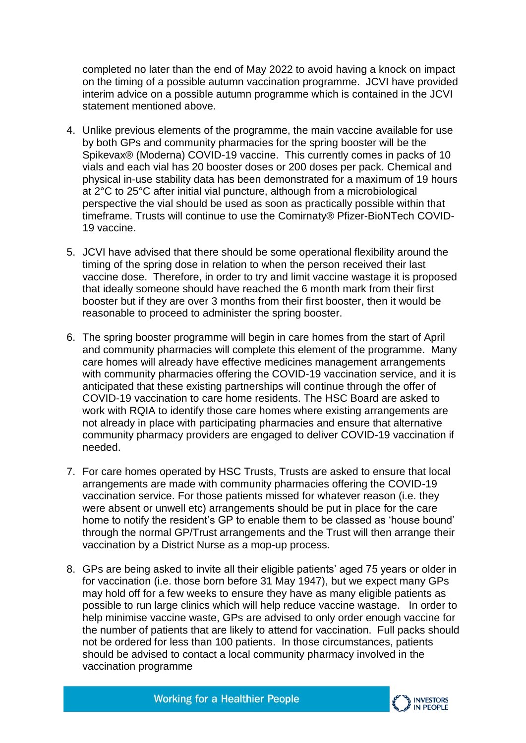completed no later than the end of May 2022 to avoid having a knock on impact on the timing of a possible autumn vaccination programme. JCVI have provided interim advice on a possible autumn programme which is contained in the JCVI statement mentioned above.

- 4. Unlike previous elements of the programme, the main vaccine available for use by both GPs and community pharmacies for the spring booster will be the Spikevax® (Moderna) COVID-19 vaccine. This currently comes in packs of 10 vials and each vial has 20 booster doses or 200 doses per pack. Chemical and physical in-use stability data has been demonstrated for a maximum of 19 hours at 2°C to 25°C after initial vial puncture, although from a microbiological perspective the vial should be used as soon as practically possible within that timeframe. Trusts will continue to use the Comirnaty® Pfizer-BioNTech COVID-19 vaccine.
- 5. JCVI have advised that there should be some operational flexibility around the timing of the spring dose in relation to when the person received their last vaccine dose. Therefore, in order to try and limit vaccine wastage it is proposed that ideally someone should have reached the 6 month mark from their first booster but if they are over 3 months from their first booster, then it would be reasonable to proceed to administer the spring booster.
- 6. The spring booster programme will begin in care homes from the start of April and community pharmacies will complete this element of the programme. Many care homes will already have effective medicines management arrangements with community pharmacies offering the COVID-19 vaccination service, and it is anticipated that these existing partnerships will continue through the offer of COVID-19 vaccination to care home residents. The HSC Board are asked to work with RQIA to identify those care homes where existing arrangements are not already in place with participating pharmacies and ensure that alternative community pharmacy providers are engaged to deliver COVID-19 vaccination if needed.
- 7. For care homes operated by HSC Trusts, Trusts are asked to ensure that local arrangements are made with community pharmacies offering the COVID-19 vaccination service. For those patients missed for whatever reason (i.e. they were absent or unwell etc) arrangements should be put in place for the care home to notify the resident's GP to enable them to be classed as 'house bound' through the normal GP/Trust arrangements and the Trust will then arrange their vaccination by a District Nurse as a mop-up process.
- 8. GPs are being asked to invite all their eligible patients' aged 75 years or older in for vaccination (i.e. those born before 31 May 1947), but we expect many GPs may hold off for a few weeks to ensure they have as many eligible patients as possible to run large clinics which will help reduce vaccine wastage. In order to help minimise vaccine waste, GPs are advised to only order enough vaccine for the number of patients that are likely to attend for vaccination. Full packs should not be ordered for less than 100 patients. In those circumstances, patients should be advised to contact a local community pharmacy involved in the vaccination programme

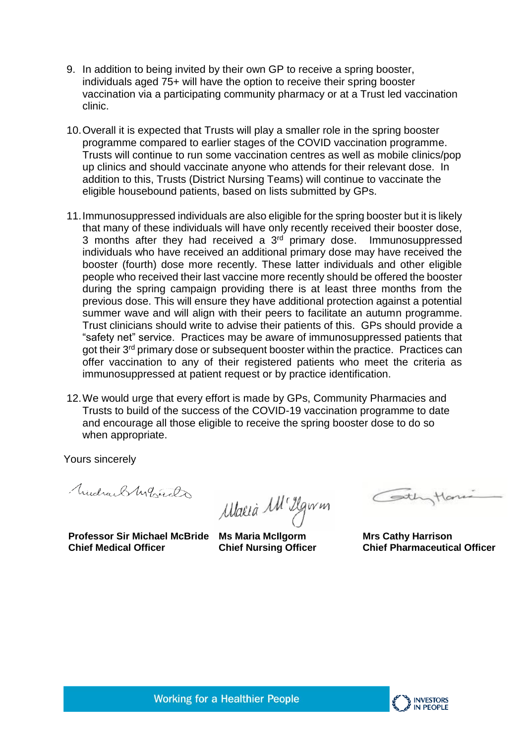- 9. In addition to being invited by their own GP to receive a spring booster, individuals aged 75+ will have the option to receive their spring booster vaccination via a participating community pharmacy or at a Trust led vaccination clinic.
- 10.Overall it is expected that Trusts will play a smaller role in the spring booster programme compared to earlier stages of the COVID vaccination programme. Trusts will continue to run some vaccination centres as well as mobile clinics/pop up clinics and should vaccinate anyone who attends for their relevant dose. In addition to this, Trusts (District Nursing Teams) will continue to vaccinate the eligible housebound patients, based on lists submitted by GPs.
- 11.Immunosuppressed individuals are also eligible for the spring booster but it is likely that many of these individuals will have only recently received their booster dose, 3 months after they had received a  $3<sup>rd</sup>$  primary dose. Immunosuppressed individuals who have received an additional primary dose may have received the booster (fourth) dose more recently. These latter individuals and other eligible people who received their last vaccine more recently should be offered the booster during the spring campaign providing there is at least three months from the previous dose. This will ensure they have additional protection against a potential summer wave and will align with their peers to facilitate an autumn programme. Trust clinicians should write to advise their patients of this. GPs should provide a "safety net" service. Practices may be aware of immunosuppressed patients that got their 3<sup>rd</sup> primary dose or subsequent booster within the practice. Practices can offer vaccination to any of their registered patients who meet the criteria as immunosuppressed at patient request or by practice identification.
- 12.We would urge that every effort is made by GPs, Community Pharmacies and Trusts to build of the success of the COVID-19 vaccination programme to date and encourage all those eligible to receive the spring booster dose to do so when appropriate.

Yours sincerely

Mudrael Marcha

**Professor Sir Michael McBride Ms Maria McIlgorm Chief Medical Officer**

Maria M<sup>1</sup> Ilgwm

**Chief Nursing Officer** 

 $\overline{\phantom{a}}$ 

**Mrs Cathy Harrison Chief Pharmaceutical Officer**